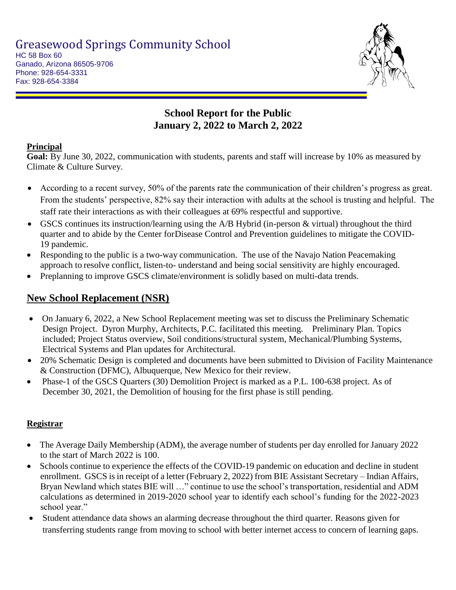

Ganado, Arizona 86505-9706 Phone: 928-654-3331 Fax: 928-654-3384

# **School Report for the Public January 2, 2022 to March 2, 2022**

### **Principal**

**Goal:** By June 30, 2022, communication with students, parents and staff will increase by 10% as measured by Climate & Culture Survey.

- According to a recent survey, 50% of the parents rate the communication of their children's progress as great. From the students' perspective, 82% say their interaction with adults at the school is trusting and helpful. The staff rate their interactions as with their colleagues at 69% respectful and supportive.
- GSCS continues its instruction/learning using the A/B Hybrid (in-person & virtual) throughout the third quarter and to abide by the Center for Disease Control and Prevention guidelines to mitigate the COVID-19 pandemic.
- Responding to the public is a two-way communication. The use of the Navajo Nation Peacemaking approach to resolve conflict, listen-to- understand and being social sensitivity are highly encouraged.
- Preplanning to improve GSCS climate/environment is solidly based on multi-data trends.

# **New School Replacement (NSR)**

- On January 6, 2022, a New School Replacement meeting was set to discuss the Preliminary Schematic Design Project. Dyron Murphy, Architects, P.C. facilitated this meeting. Preliminary Plan. Topics included; Project Status overview, Soil conditions/structural system, Mechanical/Plumbing Systems, Electrical Systems and Plan updates for Architectural.
- 20% Schematic Design is completed and documents have been submitted to Division of Facility Maintenance & Construction (DFMC), Albuquerque, New Mexico for their review.
- Phase-1 of the GSCS Quarters (30) Demolition Project is marked as a P.L. 100-638 project. As of December 30, 2021, the Demolition of housing for the first phase is still pending.

### **Registrar**

- The Average Daily Membership (ADM), the average number of students per day enrolled for January 2022 to the start of March 2022 is 100.
- Schools continue to experience the effects of the COVID-19 pandemic on education and decline in student enrollment. GSCS is in receipt of a letter (February 2, 2022) from BIE Assistant Secretary – Indian Affairs, Bryan Newland which states BIE will …" continue to use the school's transportation, residential and ADM calculations as determined in 2019-2020 school year to identify each school's funding for the 2022-2023 school year."
- Student attendance data shows an alarming decrease throughout the third quarter. Reasons given for transferring students range from moving to school with better internet access to concern of learning gaps.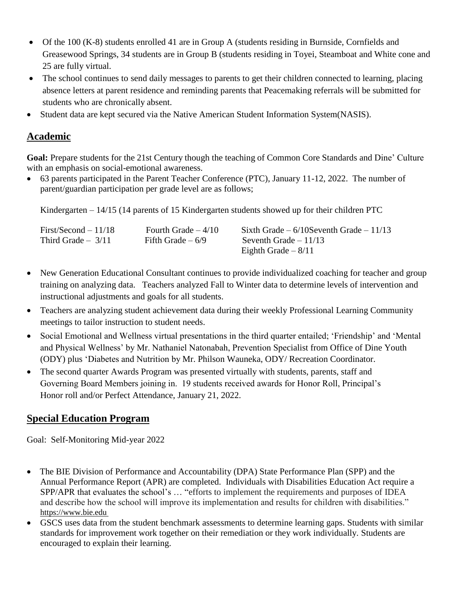- Of the 100 (K-8) students enrolled 41 are in Group A (students residing in Burnside, Cornfields and Greasewood Springs, 34 students are in Group B (students residing in Toyei, Steamboat and White cone and 25 are fully virtual.
- The school continues to send daily messages to parents to get their children connected to learning, placing absence letters at parent residence and reminding parents that Peacemaking referrals will be submitted for students who are chronically absent.
- Student data are kept secured via the Native American Student Information System(NASIS).

### **Academic**

**Goal:** Prepare students for the 21st Century though the teaching of Common Core Standards and Dine' Culture with an emphasis on social-emotional awareness.

 63 parents participated in the Parent Teacher Conference (PTC), January 11-12, 2022. The number of parent/guardian participation per grade level are as follows;

Kindergarten – 14/15 (14 parents of 15 Kindergarten students showed up for their children PTC

| $First/Second - 11/18$ | Fourth Grade $-4/10$ | Sixth Grade $-6/10$ Seventh Grade $-11/13$ |
|------------------------|----------------------|--------------------------------------------|
| Third Grade $-3/11$    | Fifth Grade $-6/9$   | Seventh Grade $-11/13$                     |
|                        |                      | Eighth Grade $-8/11$                       |

- New Generation Educational Consultant continues to provide individualized coaching for teacher and group training on analyzing data. Teachers analyzed Fall to Winter data to determine levels of intervention and instructional adjustments and goals for all students.
- Teachers are analyzing student achievement data during their weekly Professional Learning Community meetings to tailor instruction to student needs.
- Social Emotional and Wellness virtual presentations in the third quarter entailed; 'Friendship' and 'Mental and Physical Wellness' by Mr. Nathaniel Natonabah, Prevention Specialist from Office of Dine Youth (ODY) plus 'Diabetes and Nutrition by Mr. Philson Wauneka, ODY/ Recreation Coordinator.
- The second quarter Awards Program was presented virtually with students, parents, staff and Governing Board Members joining in. 19 students received awards for Honor Roll, Principal's Honor roll and/or Perfect Attendance, January 21, 2022.

### **Special Education Program**

Goal: Self-Monitoring Mid-year 2022

- The BIE Division of Performance and Accountability (DPA) State Performance Plan (SPP) and the Annual Performance Report (APR) are completed. Individuals with Disabilities Education Act require a SPP/APR that evaluates the school's … "efforts to implement the requirements and purposes of IDEA and describe how the school will improve its implementation and results for children with disabilities." https://www.bie.edu
- GSCS uses data from the student benchmark assessments to determine learning gaps. Students with similar standards for improvement work together on their remediation or they work individually. Students are encouraged to explain their learning.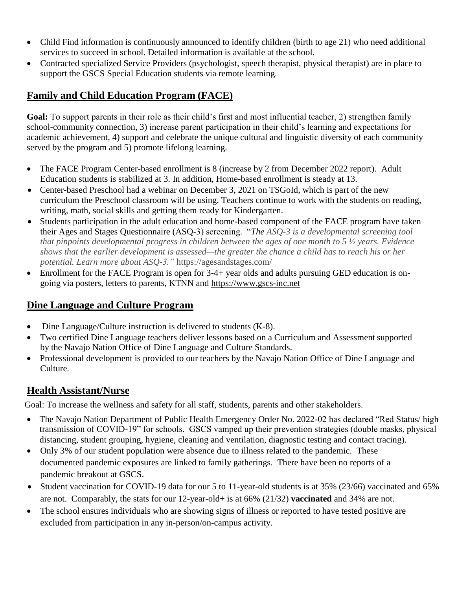- Child Find information is continuously announced to identify children (birth to age 21) who need additional services to succeed in school. Detailed information is available at the school.
- Contracted specialized Service Providers (psychologist, speech therapist, physical therapist) are in place to support the GSCS Special Education students via remote learning.

# **Family and Child Education Program (FACE)**

**Goal:** To support parents in their role as their child's first and most influential teacher, 2) strengthen family school-community connection, 3) increase parent participation in their child's learning and expectations for academic achievement, 4) support and celebrate the unique cultural and linguistic diversity of each community served by the program and 5) promote lifelong learning.

- The FACE Program Center-based enrollment is 8 (increase by 2 from December 2022 report). Adult Education students is stabilized at 3. In addition, Home-based enrollment is steady at 13.
- Center-based Preschool had a webinar on December 3, 2021 on TSGoId, which is part of the new curriculum the Preschool classroom will be using. Teachers continue to work with the students on reading, writing, math, social skills and getting them ready for Kindergarten.
- Students participation in the adult education and home-based component of the FACE program have taken their Ages and Stages Questionnaire (ASQ-3) screening. "*The ASQ-3 is a developmental screening tool that pinpoints developmental progress in children between the ages of one month to 5 ½ years. Evidence shows that the earlier development is assessed—the greater the chance a child has to reach his or her potential. Learn more about ASQ-3."* https://agesandstages.com/
- Enrollment for the FACE Program is open for 3-4+ year olds and adults pursuing GED education is ongoing via posters, letters to parents, KTNN and [https://www.gscs-inc.net](https://www.gscs-inc.net/)

# **Dine Language and Culture Program**

- Dine Language/Culture instruction is delivered to students (K-8).
- Two certified Dine Language teachers deliver lessons based on a Curriculum and Assessment supported by the Navajo Nation Office of Dine Language and Culture Standards.
- Professional development is provided to our teachers by the Navajo Nation Office of Dine Language and Culture.

# **Health Assistant/Nurse**

Goal: To increase the wellness and safety for all staff, students, parents and other stakeholders.

- The Navajo Nation Department of Public Health Emergency Order No. 2022-02 has declared "Red Status/ high transmission of COVID-19" for schools. GSCS vamped up their prevention strategies (double masks, physical distancing, student grouping, hygiene, cleaning and ventilation, diagnostic testing and contact tracing).
- Only 3% of our student population were absence due to illness related to the pandemic. These documented pandemic exposures are linked to family gatherings. There have been no reports of a pandemic breakout at GSCS.
- Student vaccination for COVID-19 data for our 5 to 11-year-old students is at 35% (23/66) vaccinated and 65% are not. Comparably, the stats for our 12-year-old+ is at 66% (21/32) **vaccinated** and 34% are not.
- The school ensures individuals who are showing signs of illness or reported to have tested positive are excluded from participation in any in-person/on-campus activity.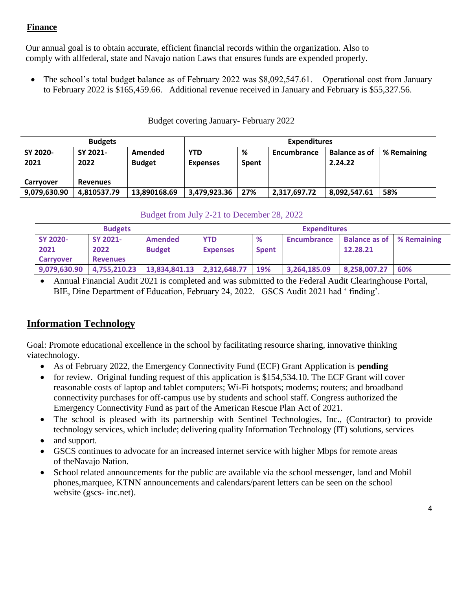#### **Finance**

Our annual goal is to obtain accurate, efficient financial records within the organization. Also to comply with allfederal, state and Navajo nation Laws that ensures funds are expended properly.

• The school's total budget balance as of February 2022 was \$8,092,547.61. Operational cost from January to February 2022 is \$165,459.66. Additional revenue received in January and February is \$55,327.56.

| <b>Budgets</b>   |                  |                          | <b>Expenditures</b>           |                   |              |                                 |             |  |
|------------------|------------------|--------------------------|-------------------------------|-------------------|--------------|---------------------------------|-------------|--|
| SY 2020-<br>2021 | SY 2021-<br>2022 | Amended<br><b>Budget</b> | <b>YTD</b><br><b>Expenses</b> | %<br><b>Spent</b> | Encumbrance  | <b>Balance as of</b><br>2.24.22 | % Remaining |  |
| Carryover        | <b>Revenues</b>  |                          |                               |                   |              |                                 |             |  |
| 9,079,630.90     | 4.810537.79      | 13,890168.69             | 3,479,923.36                  | 27%               | 2,317,697.72 | 8,092,547.61                    | 58%         |  |

#### Budget covering January- February 2022

#### Budget from July 2-21 to December 28, 2022

| <b>Budgets</b>   |                 |                                | <b>Expenditures</b> |              |                    |                                                       |     |  |
|------------------|-----------------|--------------------------------|---------------------|--------------|--------------------|-------------------------------------------------------|-----|--|
| <b>SY 2020-</b>  | SY 2021-        | Amended                        | <b>YTD</b>          | %            | <b>Encumbrance</b> | <b>Balance as of Strate Post Balance as of Strate</b> |     |  |
| 2021             | 2022            | <b>Budget</b>                  | <b>Expenses</b>     | <b>Spent</b> |                    | 12.28.21                                              |     |  |
| <b>Carryover</b> | <b>Revenues</b> |                                |                     |              |                    |                                                       |     |  |
| 9,079,630.90     | 4,755,210.23    | $13,834,841.13$ $2,312,648.77$ |                     | 19%          | 3,264,185.09       | 8,258,007.27                                          | 60% |  |

 Annual Financial Audit 2021 is completed and was submitted to the Federal Audit Clearinghouse Portal, BIE, Dine Department of Education, February 24, 2022. GSCS Audit 2021 had ' finding'.

### **Information Technology**

Goal: Promote educational excellence in the school by facilitating resource sharing, innovative thinking viatechnology.

- As of February 2022, the Emergency Connectivity Fund (ECF) Grant Application is **pending**
- for review. Original funding request of this application is \$154,534.10. The ECF Grant will cover reasonable costs of laptop and tablet computers; Wi-Fi hotspots; modems; routers; and broadband connectivity purchases for off-campus use by students and school staff. Congress authorized the Emergency Connectivity Fund as part of the American Rescue Plan Act of 2021.
- The school is pleased with its partnership with Sentinel Technologies, Inc., (Contractor) to provide technology services, which include; delivering quality Information Technology (IT) solutions, services
- and support.
- GSCS continues to advocate for an increased internet service with higher Mbps for remote areas of theNavajo Nation.
- School related announcements for the public are available via the school messenger, land and Mobil phones,marquee, KTNN announcements and calendars/parent letters can be seen on the school website (gscs- inc.net).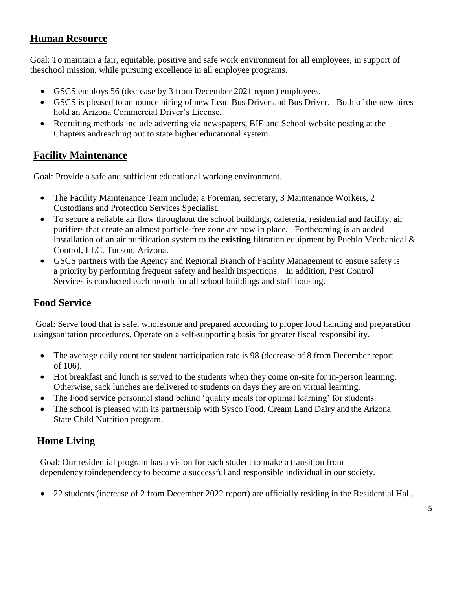# **Human Resource**

Goal: To maintain a fair, equitable, positive and safe work environment for all employees, in support of theschool mission, while pursuing excellence in all employee programs.

- GSCS employs 56 (decrease by 3 from December 2021 report) employees.
- GSCS is pleased to announce hiring of new Lead Bus Driver and Bus Driver. Both of the new hires hold an Arizona Commercial Driver's License.
- Recruiting methods include adverting via newspapers, BIE and School website posting at the Chapters andreaching out to state higher educational system.

# **Facility Maintenance**

Goal: Provide a safe and sufficient educational working environment.

- The Facility Maintenance Team include; a Foreman, secretary, 3 Maintenance Workers, 2 Custodians and Protection Services Specialist.
- To secure a reliable air flow throughout the school buildings, cafeteria, residential and facility, air purifiers that create an almost particle-free zone are now in place. Forthcoming is an added installation of an air purification system to the **existing** filtration equipment by Pueblo Mechanical & Control, LLC, Tucson, Arizona.
- GSCS partners with the Agency and Regional Branch of Facility Management to ensure safety is a priority by performing frequent safety and health inspections. In addition, Pest Control Services is conducted each month for all school buildings and staff housing.

# **Food Service**

Goal: Serve food that is safe, wholesome and prepared according to proper food handing and preparation usingsanitation procedures. Operate on a self-supporting basis for greater fiscal responsibility.

- The average daily count for student participation rate is 98 (decrease of 8 from December report of 106).
- Hot breakfast and lunch is served to the students when they come on-site for in-person learning. Otherwise, sack lunches are delivered to students on days they are on virtual learning.
- The Food service personnel stand behind 'quality meals for optimal learning' for students.
- The school is pleased with its partnership with Sysco Food, Cream Land Dairy and the Arizona State Child Nutrition program.

# **Home Living**

Goal: Our residential program has a vision for each student to make a transition from dependency toindependency to become a successful and responsible individual in our society.

22 students (increase of 2 from December 2022 report) are officially residing in the Residential Hall.